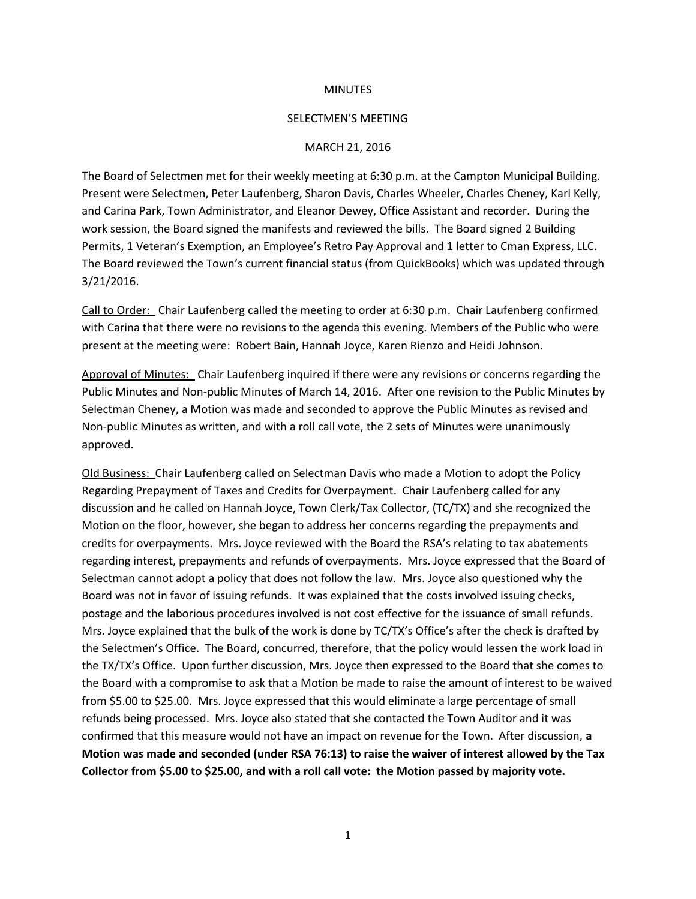## **MINUTES**

## SELECTMEN'S MEETING

## MARCH 21, 2016

The Board of Selectmen met for their weekly meeting at 6:30 p.m. at the Campton Municipal Building. Present were Selectmen, Peter Laufenberg, Sharon Davis, Charles Wheeler, Charles Cheney, Karl Kelly, and Carina Park, Town Administrator, and Eleanor Dewey, Office Assistant and recorder. During the work session, the Board signed the manifests and reviewed the bills. The Board signed 2 Building Permits, 1 Veteran's Exemption, an Employee's Retro Pay Approval and 1 letter to Cman Express, LLC. The Board reviewed the Town's current financial status (from QuickBooks) which was updated through 3/21/2016.

Call to Order: Chair Laufenberg called the meeting to order at 6:30 p.m. Chair Laufenberg confirmed with Carina that there were no revisions to the agenda this evening. Members of the Public who were present at the meeting were: Robert Bain, Hannah Joyce, Karen Rienzo and Heidi Johnson.

Approval of Minutes: Chair Laufenberg inquired if there were any revisions or concerns regarding the Public Minutes and Non-public Minutes of March 14, 2016. After one revision to the Public Minutes by Selectman Cheney, a Motion was made and seconded to approve the Public Minutes as revised and Non-public Minutes as written, and with a roll call vote, the 2 sets of Minutes were unanimously approved.

Old Business: Chair Laufenberg called on Selectman Davis who made a Motion to adopt the Policy Regarding Prepayment of Taxes and Credits for Overpayment. Chair Laufenberg called for any discussion and he called on Hannah Joyce, Town Clerk/Tax Collector, (TC/TX) and she recognized the Motion on the floor, however, she began to address her concerns regarding the prepayments and credits for overpayments. Mrs. Joyce reviewed with the Board the RSA's relating to tax abatements regarding interest, prepayments and refunds of overpayments. Mrs. Joyce expressed that the Board of Selectman cannot adopt a policy that does not follow the law. Mrs. Joyce also questioned why the Board was not in favor of issuing refunds. It was explained that the costs involved issuing checks, postage and the laborious procedures involved is not cost effective for the issuance of small refunds. Mrs. Joyce explained that the bulk of the work is done by TC/TX's Office's after the check is drafted by the Selectmen's Office. The Board, concurred, therefore, that the policy would lessen the work load in the TX/TX's Office. Upon further discussion, Mrs. Joyce then expressed to the Board that she comes to the Board with a compromise to ask that a Motion be made to raise the amount of interest to be waived from \$5.00 to \$25.00. Mrs. Joyce expressed that this would eliminate a large percentage of small refunds being processed. Mrs. Joyce also stated that she contacted the Town Auditor and it was confirmed that this measure would not have an impact on revenue for the Town. After discussion, **a Motion was made and seconded (under RSA 76:13) to raise the waiver of interest allowed by the Tax Collector from \$5.00 to \$25.00, and with a roll call vote: the Motion passed by majority vote.**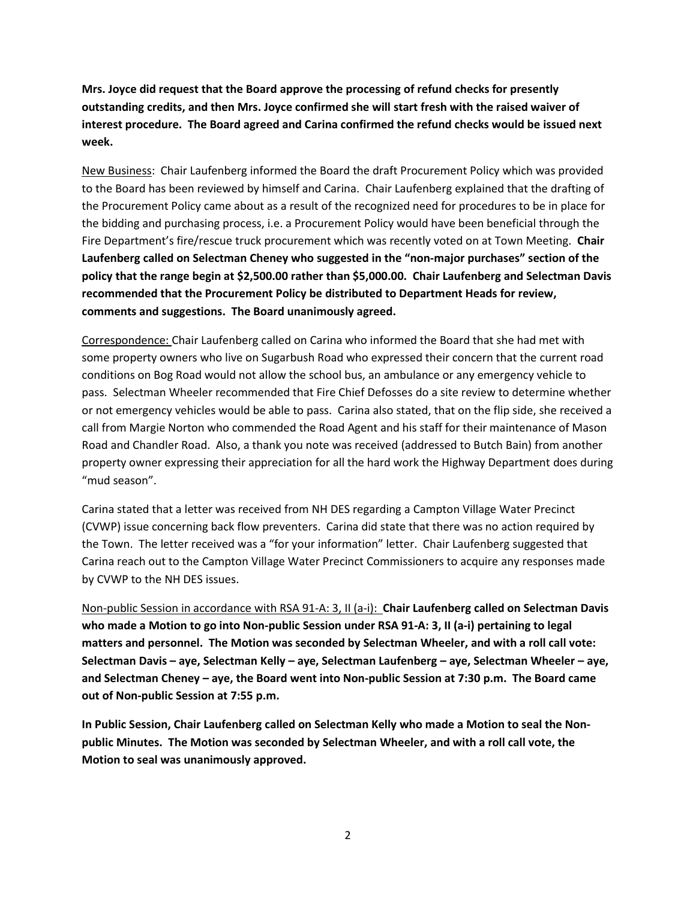**Mrs. Joyce did request that the Board approve the processing of refund checks for presently outstanding credits, and then Mrs. Joyce confirmed she will start fresh with the raised waiver of interest procedure. The Board agreed and Carina confirmed the refund checks would be issued next week.**

New Business: Chair Laufenberg informed the Board the draft Procurement Policy which was provided to the Board has been reviewed by himself and Carina. Chair Laufenberg explained that the drafting of the Procurement Policy came about as a result of the recognized need for procedures to be in place for the bidding and purchasing process, i.e. a Procurement Policy would have been beneficial through the Fire Department's fire/rescue truck procurement which was recently voted on at Town Meeting. **Chair Laufenberg called on Selectman Cheney who suggested in the "non-major purchases" section of the policy that the range begin at \$2,500.00 rather than \$5,000.00. Chair Laufenberg and Selectman Davis recommended that the Procurement Policy be distributed to Department Heads for review, comments and suggestions. The Board unanimously agreed.** 

Correspondence: Chair Laufenberg called on Carina who informed the Board that she had met with some property owners who live on Sugarbush Road who expressed their concern that the current road conditions on Bog Road would not allow the school bus, an ambulance or any emergency vehicle to pass. Selectman Wheeler recommended that Fire Chief Defosses do a site review to determine whether or not emergency vehicles would be able to pass. Carina also stated, that on the flip side, she received a call from Margie Norton who commended the Road Agent and his staff for their maintenance of Mason Road and Chandler Road. Also, a thank you note was received (addressed to Butch Bain) from another property owner expressing their appreciation for all the hard work the Highway Department does during "mud season".

Carina stated that a letter was received from NH DES regarding a Campton Village Water Precinct (CVWP) issue concerning back flow preventers. Carina did state that there was no action required by the Town. The letter received was a "for your information" letter. Chair Laufenberg suggested that Carina reach out to the Campton Village Water Precinct Commissioners to acquire any responses made by CVWP to the NH DES issues.

Non-public Session in accordance with RSA 91-A: 3, II (a-i): **Chair Laufenberg called on Selectman Davis who made a Motion to go into Non-public Session under RSA 91-A: 3, II (a-i) pertaining to legal matters and personnel. The Motion was seconded by Selectman Wheeler, and with a roll call vote: Selectman Davis – aye, Selectman Kelly – aye, Selectman Laufenberg – aye, Selectman Wheeler – aye, and Selectman Cheney – aye, the Board went into Non-public Session at 7:30 p.m. The Board came out of Non-public Session at 7:55 p.m.** 

**In Public Session, Chair Laufenberg called on Selectman Kelly who made a Motion to seal the Nonpublic Minutes. The Motion was seconded by Selectman Wheeler, and with a roll call vote, the Motion to seal was unanimously approved.**